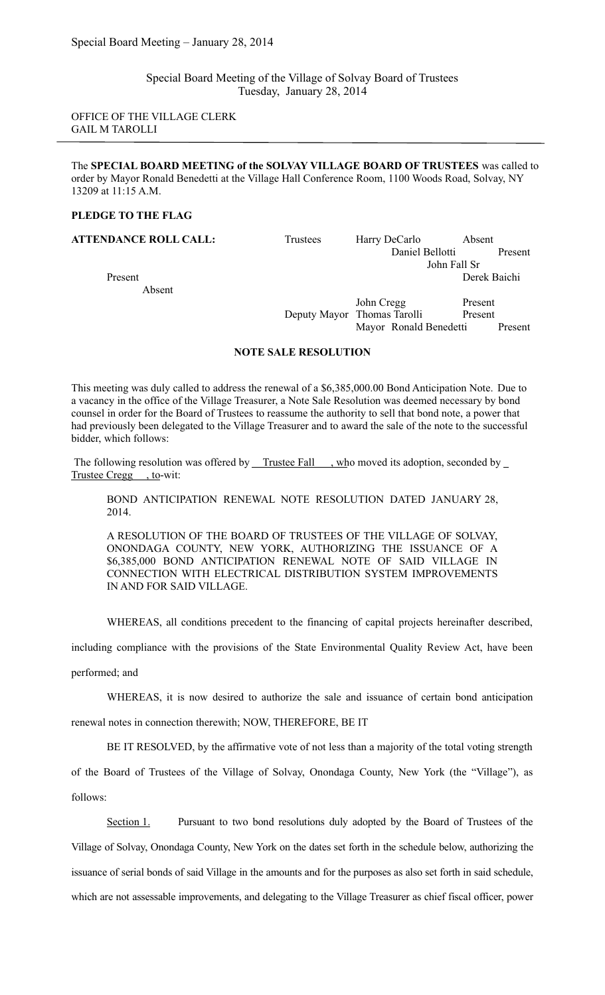Special Board Meeting of the Village of Solvay Board of Trustees Tuesday, January 28, 2014

OFFICE OF THE VILLAGE CLERK GAIL M TAROLLI

The **SPECIAL BOARD MEETING of the SOLVAY VILLAGE BOARD OF TRUSTEES** was called to order by Mayor Ronald Benedetti at the Village Hall Conference Room, 1100 Woods Road, Solvay, NY 13209 at 11:15 A.M.

#### **PLEDGE TO THE FLAG**

Absent

**ATTENDANCE ROLL CALL:** Trustees Harry DeCarlo Absent Daniel Bellotti Present John Fall Sr Present Derek Baichi

> John Cregg Present Deputy Mayor Thomas Tarolli Present Mayor Ronald Benedetti Present

## **NOTE SALE RESOLUTION**

This meeting was duly called to address the renewal of a \$6,385,000.00 Bond Anticipation Note. Due to a vacancy in the office of the Village Treasurer, a Note Sale Resolution was deemed necessary by bond counsel in order for the Board of Trustees to reassume the authority to sell that bond note, a power that had previously been delegated to the Village Treasurer and to award the sale of the note to the successful bidder, which follows:

The following resolution was offered by Trustee Fall , who moved its adoption, seconded by \_ Trustee Cregg , to-wit:

BOND ANTICIPATION RENEWAL NOTE RESOLUTION DATED JANUARY 28, 2014.

A RESOLUTION OF THE BOARD OF TRUSTEES OF THE VILLAGE OF SOLVAY, ONONDAGA COUNTY, NEW YORK, AUTHORIZING THE ISSUANCE OF A \$6,385,000 BOND ANTICIPATION RENEWAL NOTE OF SAID VILLAGE IN CONNECTION WITH ELECTRICAL DISTRIBUTION SYSTEM IMPROVEMENTS IN AND FOR SAID VILLAGE.

WHEREAS, all conditions precedent to the financing of capital projects hereinafter described,

including compliance with the provisions of the State Environmental Quality Review Act, have been

performed; and

WHEREAS, it is now desired to authorize the sale and issuance of certain bond anticipation

renewal notes in connection therewith; NOW, THEREFORE, BE IT

BE IT RESOLVED, by the affirmative vote of not less than a majority of the total voting strength

of the Board of Trustees of the Village of Solvay, Onondaga County, New York (the "Village"), as follows:

Section 1. Pursuant to two bond resolutions duly adopted by the Board of Trustees of the

Village of Solvay, Onondaga County, New York on the dates set forth in the schedule below, authorizing the

issuance of serial bonds of said Village in the amounts and for the purposes as also set forth in said schedule,

which are not assessable improvements, and delegating to the Village Treasurer as chief fiscal officer, power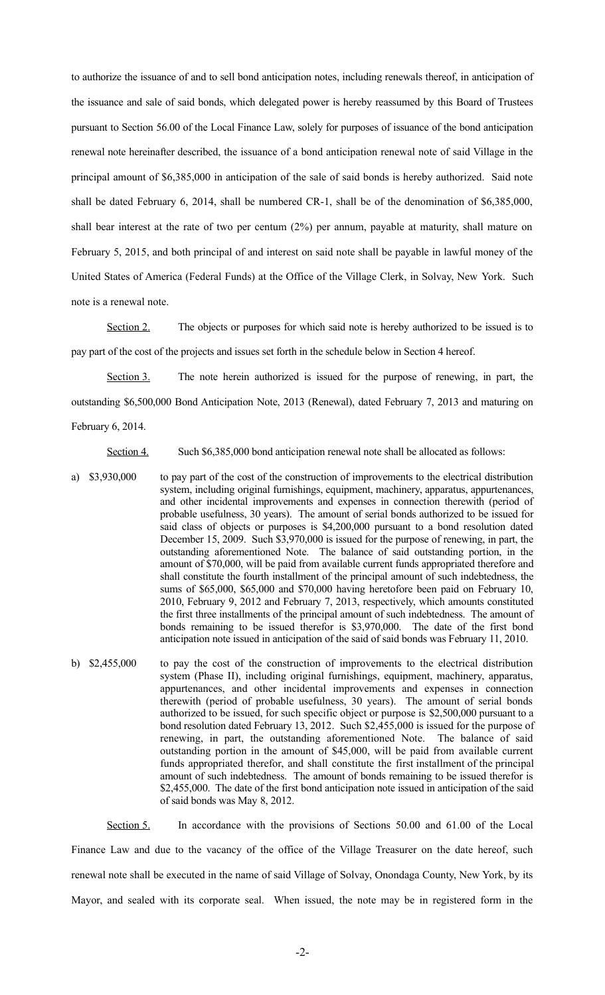to authorize the issuance of and to sell bond anticipation notes, including renewals thereof, in anticipation of the issuance and sale of said bonds, which delegated power is hereby reassumed by this Board of Trustees pursuant to Section 56.00 of the Local Finance Law, solely for purposes of issuance of the bond anticipation renewal note hereinafter described, the issuance of a bond anticipation renewal note of said Village in the principal amount of \$6,385,000 in anticipation of the sale of said bonds is hereby authorized. Said note shall be dated February 6, 2014, shall be numbered CR-1, shall be of the denomination of \$6,385,000, shall bear interest at the rate of two per centum (2%) per annum, payable at maturity, shall mature on February 5, 2015, and both principal of and interest on said note shall be payable in lawful money of the United States of America (Federal Funds) at the Office of the Village Clerk, in Solvay, New York. Such note is a renewal note.

Section 2. The objects or purposes for which said note is hereby authorized to be issued is to pay part of the cost of the projects and issues set forth in the schedule below in Section 4 hereof.

Section 3. The note herein authorized is issued for the purpose of renewing, in part, the outstanding \$6,500,000 Bond Anticipation Note, 2013 (Renewal), dated February 7, 2013 and maturing on February 6, 2014.

Section 4. Such \$6,385,000 bond anticipation renewal note shall be allocated as follows:

- a) \$3,930,000 to pay part of the cost of the construction of improvements to the electrical distribution system, including original furnishings, equipment, machinery, apparatus, appurtenances, and other incidental improvements and expenses in connection therewith (period of probable usefulness, 30 years). The amount of serial bonds authorized to be issued for said class of objects or purposes is \$4,200,000 pursuant to a bond resolution dated December 15, 2009. Such \$3,970,000 is issued for the purpose of renewing, in part, the outstanding aforementioned Note. The balance of said outstanding portion, in the amount of \$70,000, will be paid from available current funds appropriated therefore and shall constitute the fourth installment of the principal amount of such indebtedness, the sums of \$65,000, \$65,000 and \$70,000 having heretofore been paid on February 10, 2010, February 9, 2012 and February 7, 2013, respectively, which amounts constituted the first three installments of the principal amount of such indebtedness. The amount of bonds remaining to be issued therefor is \$3,970,000. The date of the first bond anticipation note issued in anticipation of the said of said bonds was February 11, 2010.
- b) \$2,455,000 to pay the cost of the construction of improvements to the electrical distribution system (Phase II), including original furnishings, equipment, machinery, apparatus, appurtenances, and other incidental improvements and expenses in connection therewith (period of probable usefulness, 30 years). The amount of serial bonds authorized to be issued, for such specific object or purpose is \$2,500,000 pursuant to a bond resolution dated February 13, 2012. Such \$2,455,000 is issued for the purpose of renewing, in part, the outstanding aforementioned Note. The balance of said outstanding portion in the amount of \$45,000, will be paid from available current funds appropriated therefor, and shall constitute the first installment of the principal amount of such indebtedness. The amount of bonds remaining to be issued therefor is \$2,455,000. The date of the first bond anticipation note issued in anticipation of the said of said bonds was May 8, 2012.

Section 5. In accordance with the provisions of Sections 50.00 and 61.00 of the Local Finance Law and due to the vacancy of the office of the Village Treasurer on the date hereof, such renewal note shall be executed in the name of said Village of Solvay, Onondaga County, New York, by its Mayor, and sealed with its corporate seal. When issued, the note may be in registered form in the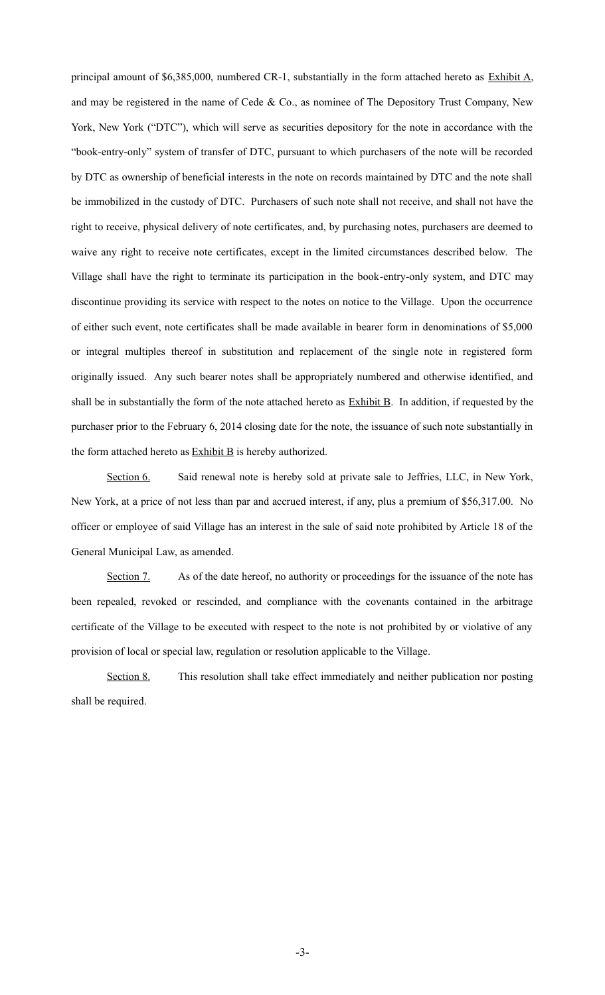principal amount of \$6,385,000, numbered CR-1, substantially in the form attached hereto as Exhibit A, and may be registered in the name of Cede & Co., as nominee of The Depository Trust Company, New York, New York ("DTC"), which will serve as securities depository for the note in accordance with the "book-entry-only" system of transfer of DTC, pursuant to which purchasers of the note will be recorded by DTC as ownership of beneficial interests in the note on records maintained by DTC and the note shall be immobilized in the custody of DTC. Purchasers of such note shall not receive, and shall not have the right to receive, physical delivery of note certificates, and, by purchasing notes, purchasers are deemed to waive any right to receive note certificates, except in the limited circumstances described below. The Village shall have the right to terminate its participation in the book-entry-only system, and DTC may discontinue providing its service with respect to the notes on notice to the Village. Upon the occurrence of either such event, note certificates shall be made available in bearer form in denominations of \$5,000 or integral multiples thereof in substitution and replacement of the single note in registered form originally issued. Any such bearer notes shall be appropriately numbered and otherwise identified, and shall be in substantially the form of the note attached hereto as **Exhibit B**. In addition, if requested by the purchaser prior to the February 6, 2014 closing date for the note, the issuance of such note substantially in the form attached hereto as  $Exhibit B$  is hereby authorized.

Section 6. Said renewal note is hereby sold at private sale to Jeffries, LLC, in New York, New York, at a price of not less than par and accrued interest, if any, plus a premium of \$56,317.00. No officer or employee of said Village has an interest in the sale of said note prohibited by Article 18 of the General Municipal Law, as amended.

Section 7. As of the date hereof, no authority or proceedings for the issuance of the note has been repealed, revoked or rescinded, and compliance with the covenants contained in the arbitrage certificate of the Village to be executed with respect to the note is not prohibited by or violative of any provision of local or special law, regulation or resolution applicable to the Village.

Section 8. This resolution shall take effect immediately and neither publication nor posting shall be required.

-3-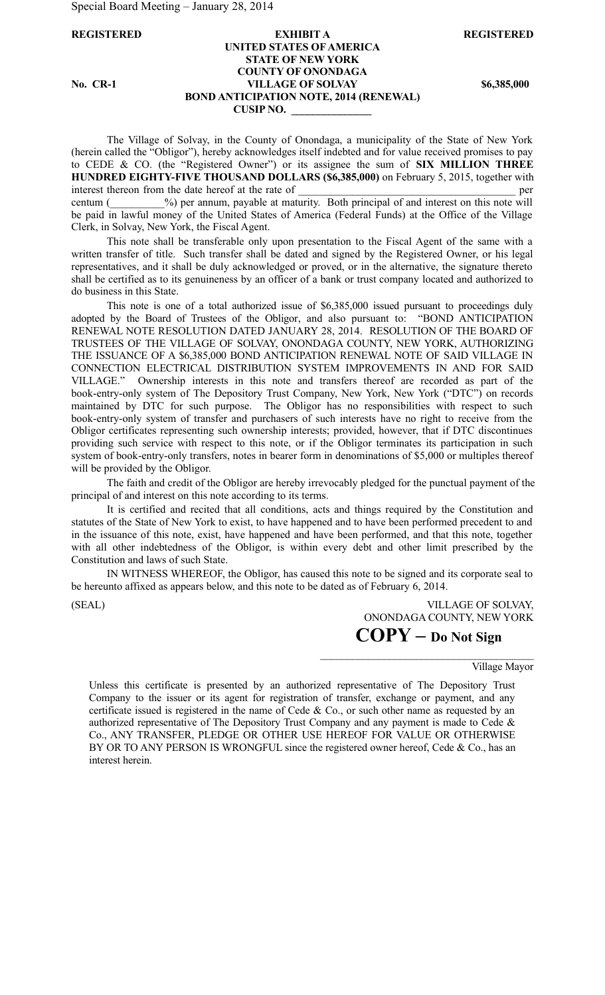Special Board Meeting – January 28, 2014

### **REGISTERED EXHIBIT A REGISTERED UNITED STATES OF AMERICA STATE OF NEW YORK COUNTY OF ONONDAGA No. CR-1 VILLAGE OF SOLVAY \$6,385,000 BOND ANTICIPATION NOTE, 2014 (RENEWAL) CUSIP NO. \_\_\_\_\_\_\_\_\_\_\_\_\_\_\_**

The Village of Solvay, in the County of Onondaga, a municipality of the State of New York (herein called the "Obligor"), hereby acknowledges itself indebted and for value received promises to pay to CEDE & CO. (the "Registered Owner") or its assignee the sum of **SIX MILLION THREE HUNDRED EIGHTY-FIVE THOUSAND DOLLARS (\$6,385,000)** on February 5, 2015, together with interest thereon from the date hereof at the rate of  $\Box$ centum ( $\%$ ) per annum, payable at maturity. Both principal of and interest on this note will be paid in lawful money of the United States of America (Federal Funds) at the Office of the Village Clerk, in Solvay, New York, the Fiscal Agent.

This note shall be transferable only upon presentation to the Fiscal Agent of the same with a written transfer of title. Such transfer shall be dated and signed by the Registered Owner, or his legal representatives, and it shall be duly acknowledged or proved, or in the alternative, the signature thereto shall be certified as to its genuineness by an officer of a bank or trust company located and authorized to do business in this State.

This note is one of a total authorized issue of \$6,385,000 issued pursuant to proceedings duly adopted by the Board of Trustees of the Obligor, and also pursuant to: "BOND ANTICIPATION RENEWAL NOTE RESOLUTION DATED JANUARY 28, 2014. RESOLUTION OF THE BOARD OF TRUSTEES OF THE VILLAGE OF SOLVAY, ONONDAGA COUNTY, NEW YORK, AUTHORIZING THE ISSUANCE OF A \$6,385,000 BOND ANTICIPATION RENEWAL NOTE OF SAID VILLAGE IN CONNECTION ELECTRICAL DISTRIBUTION SYSTEM IMPROVEMENTS IN AND FOR SAID VILLAGE." Ownership interests in this note and transfers thereof are recorded as part of the book-entry-only system of The Depository Trust Company, New York, New York ("DTC") on records maintained by DTC for such purpose. The Obligor has no responsibilities with respect to such book-entry-only system of transfer and purchasers of such interests have no right to receive from the Obligor certificates representing such ownership interests; provided, however, that if DTC discontinues providing such service with respect to this note, or if the Obligor terminates its participation in such system of book-entry-only transfers, notes in bearer form in denominations of \$5,000 or multiples thereof will be provided by the Obligor.

The faith and credit of the Obligor are hereby irrevocably pledged for the punctual payment of the principal of and interest on this note according to its terms.

It is certified and recited that all conditions, acts and things required by the Constitution and statutes of the State of New York to exist, to have happened and to have been performed precedent to and in the issuance of this note, exist, have happened and have been performed, and that this note, together with all other indebtedness of the Obligor, is within every debt and other limit prescribed by the Constitution and laws of such State.

IN WITNESS WHEREOF, the Obligor, has caused this note to be signed and its corporate seal to be hereunto affixed as appears below, and this note to be dated as of February 6, 2014.

(SEAL) VILLAGE OF SOLVAY, ONONDAGA COUNTY, NEW YORK **COPY – Do Not Sign**

 $\mathcal{L}_\text{max}$  and  $\mathcal{L}_\text{max}$  and  $\mathcal{L}_\text{max}$  and  $\mathcal{L}_\text{max}$ 

Village Mayor

Unless this certificate is presented by an authorized representative of The Depository Trust Company to the issuer or its agent for registration of transfer, exchange or payment, and any certificate issued is registered in the name of Cede & Co., or such other name as requested by an authorized representative of The Depository Trust Company and any payment is made to Cede  $\&$ Co., ANY TRANSFER, PLEDGE OR OTHER USE HEREOF FOR VALUE OR OTHERWISE BY OR TO ANY PERSON IS WRONGFUL since the registered owner hereof, Cede & Co., has an interest herein.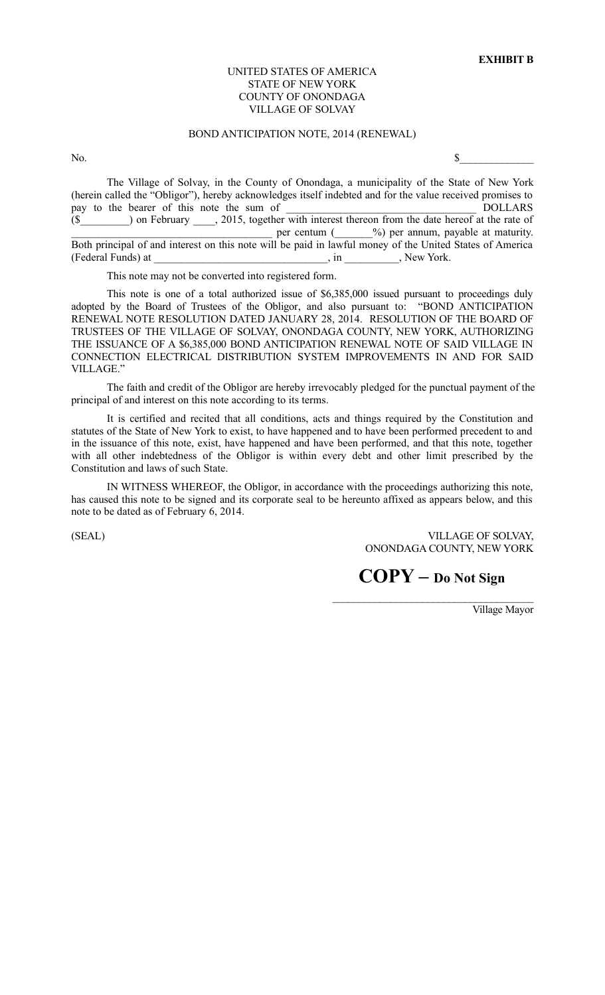### UNITED STATES OF AMERICA STATE OF NEW YORK COUNTY OF ONONDAGA VILLAGE OF SOLVAY

## BOND ANTICIPATION NOTE, 2014 (RENEWAL)

No.  $\sim$ 

The Village of Solvay, in the County of Onondaga, a municipality of the State of New York (herein called the "Obligor"), hereby acknowledges itself indebted and for the value received promises to pay to the bearer of this note the sum of  $DOLLARS$ (\$\_\_\_\_\_\_\_\_\_) on February \_\_\_\_, 2015, together with interest thereon from the date hereof at the rate of  $per$  centum ( $\frac{9}{9}$ ) per annum, payable at maturity. Both principal of and interest on this note will be paid in lawful money of the United States of America (Federal Funds) at \_\_\_\_\_\_\_\_\_\_\_\_\_\_\_\_\_\_\_\_\_\_\_\_\_\_\_\_\_\_\_\_, in \_\_\_\_\_\_\_\_\_\_, New York.

This note may not be converted into registered form.

This note is one of a total authorized issue of \$6,385,000 issued pursuant to proceedings duly adopted by the Board of Trustees of the Obligor, and also pursuant to: "BOND ANTICIPATION RENEWAL NOTE RESOLUTION DATED JANUARY 28, 2014. RESOLUTION OF THE BOARD OF TRUSTEES OF THE VILLAGE OF SOLVAY, ONONDAGA COUNTY, NEW YORK, AUTHORIZING THE ISSUANCE OF A \$6,385,000 BOND ANTICIPATION RENEWAL NOTE OF SAID VILLAGE IN CONNECTION ELECTRICAL DISTRIBUTION SYSTEM IMPROVEMENTS IN AND FOR SAID VILLAGE."

The faith and credit of the Obligor are hereby irrevocably pledged for the punctual payment of the principal of and interest on this note according to its terms.

It is certified and recited that all conditions, acts and things required by the Constitution and statutes of the State of New York to exist, to have happened and to have been performed precedent to and in the issuance of this note, exist, have happened and have been performed, and that this note, together with all other indebtedness of the Obligor is within every debt and other limit prescribed by the Constitution and laws of such State.

IN WITNESS WHEREOF, the Obligor, in accordance with the proceedings authorizing this note, has caused this note to be signed and its corporate seal to be hereunto affixed as appears below, and this note to be dated as of February 6, 2014.

(SEAL) VILLAGE OF SOLVAY, ONONDAGA COUNTY, NEW YORK

**COPY – Do Not Sign**

Village Mayor